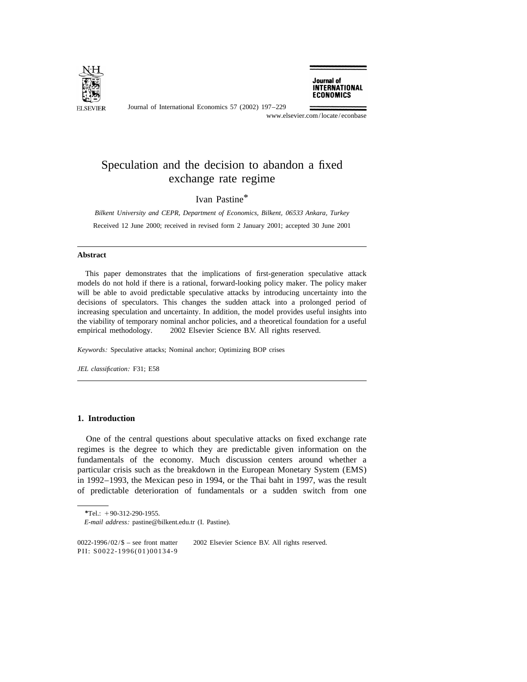

Journal of International Economics 57 (2002) 197–229

Journal of **INTERNATIONAL ECONOMICS** 

www.elsevier.com/locate/econbase

## Speculation and the decision to abandon a fixed exchange rate regime

Ivan Pastine\*

*Bilkent University and CEPR*, *Department of Economics*, *Bilkent*, <sup>06533</sup> *Ankara*, *Turkey* Received 12 June 2000; received in revised form 2 January 2001; accepted 30 June 2001

## **Abstract**

This paper demonstrates that the implications of first-generation speculative attack models do not hold if there is a rational, forward-looking policy maker. The policy maker will be able to avoid predictable speculative attacks by introducing uncertainty into the decisions of speculators. This changes the sudden attack into a prolonged period of increasing speculation and uncertainty. In addition, the model provides useful insights into the viability of temporary nominal anchor policies, and a theoretical foundation for a useful empirical methodology.  $\circ$  2002 Elsevier Science B.V. All rights reserved.

*Keywords*: Speculative attacks; Nominal anchor; Optimizing BOP crises

*JEL classification*: F31; E58

## **1. Introduction**

One of the central questions about speculative attacks on fixed exchange rate regimes is the degree to which they are predictable given information on the fundamentals of the economy. Much discussion centers around whether a particular crisis such as the breakdown in the European Monetary System (EMS) in 1992–1993, the Mexican peso in 1994, or the Thai baht in 1997, was the result of predictable deterioration of fundamentals or a sudden switch from one

*<sup>\*</sup>*Tel.: 190-312-290-1955.

*E*-*mail address*: pastine@bilkent.edu.tr (I. Pastine).

 $0022-1996/02/\$$  – see front matter  $\)$  2002 Elsevier Science B.V. All rights reserved. PII: S0022-1996(01)00134-9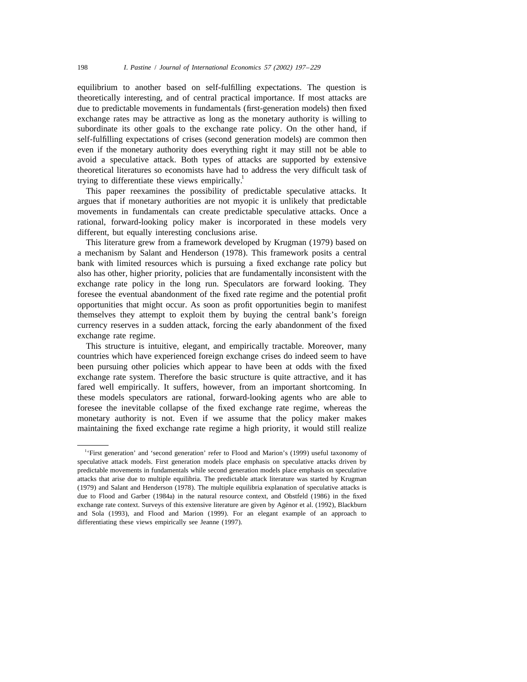equilibrium to another based on self-fulfilling expectations. The question is theoretically interesting, and of central practical importance. If most attacks are due to predictable movements in fundamentals (first-generation models) then fixed exchange rates may be attractive as long as the monetary authority is willing to subordinate its other goals to the exchange rate policy. On the other hand, if self-fulfilling expectations of crises (second generation models) are common then even if the monetary authority does everything right it may still not be able to avoid a speculative attack. Both types of attacks are supported by extensive theoretical literatures so economists have had to address the very difficult task of trying to differentiate these views empirically.<sup>1</sup>

This paper reexamines the possibility of predictable speculative attacks. It argues that if monetary authorities are not myopic it is unlikely that predictable movements in fundamentals can create predictable speculative attacks. Once a rational, forward-looking policy maker is incorporated in these models very different, but equally interesting conclusions arise.

This literature grew from a framework developed by Krugman (1979) based on a mechanism by Salant and Henderson (1978). This framework posits a central bank with limited resources which is pursuing a fixed exchange rate policy but also has other, higher priority, policies that are fundamentally inconsistent with the exchange rate policy in the long run. Speculators are forward looking. They foresee the eventual abandonment of the fixed rate regime and the potential profit opportunities that might occur. As soon as profit opportunities begin to manifest themselves they attempt to exploit them by buying the central bank's foreign currency reserves in a sudden attack, forcing the early abandonment of the fixed exchange rate regime.

This structure is intuitive, elegant, and empirically tractable. Moreover, many countries which have experienced foreign exchange crises do indeed seem to have been pursuing other policies which appear to have been at odds with the fixed exchange rate system. Therefore the basic structure is quite attractive, and it has fared well empirically. It suffers, however, from an important shortcoming. In these models speculators are rational, forward-looking agents who are able to foresee the inevitable collapse of the fixed exchange rate regime, whereas the monetary authority is not. Even if we assume that the policy maker makes maintaining the fixed exchange rate regime a high priority, it would still realize

<sup>&</sup>lt;sup>1</sup>'First generation' and 'second generation' refer to Flood and Marion's (1999) useful taxonomy of speculative attack models. First generation models place emphasis on speculative attacks driven by predictable movements in fundamentals while second generation models place emphasis on speculative attacks that arise due to multiple equilibria. The predictable attack literature was started by Krugman (1979) and Salant and Henderson (1978). The multiple equilibria explanation of speculative attacks is due to Flood and Garber (1984a) in the natural resource context, and Obstfeld (1986) in the fixed exchange rate context. Surveys of this extensive literature are given by Agenor et al. (1992), Blackburn ´ and Sola (1993), and Flood and Marion (1999). For an elegant example of an approach to differentiating these views empirically see Jeanne (1997).